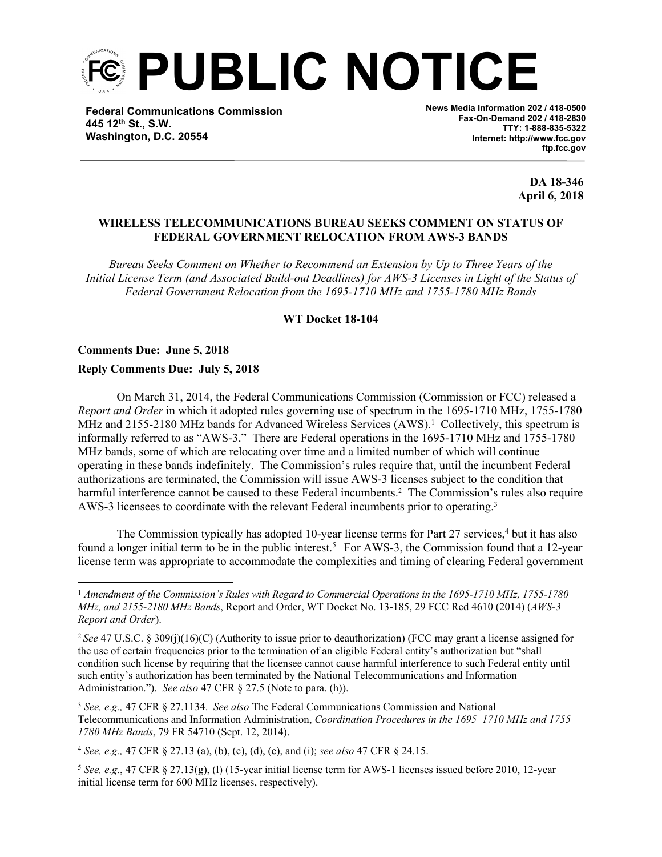

**Federal Communications Commission 445 12th St., S.W. Washington, D.C. 20554**

**News Media Information 202 / 418-0500 Fax-On-Demand 202 / 418-2830 TTY: 1-888-835-5322 Internet: http://www.fcc.gov ftp.fcc.gov**

> **DA 18-346 April 6, 2018**

## **WIRELESS TELECOMMUNICATIONS BUREAU SEEKS COMMENT ON STATUS OF FEDERAL GOVERNMENT RELOCATION FROM AWS-3 BANDS**

*Bureau Seeks Comment on Whether to Recommend an Extension by Up to Three Years of the Initial License Term (and Associated Build-out Deadlines) for AWS-3 Licenses in Light of the Status of Federal Government Relocation from the 1695-1710 MHz and 1755-1780 MHz Bands*

# **WT Docket 18-104**

## **Comments Due: June 5, 2018**

## **Reply Comments Due: July 5, 2018**

On March 31, 2014, the Federal Communications Commission (Commission or FCC) released a *Report and Order* in which it adopted rules governing use of spectrum in the 1695-1710 MHz, 1755-1780 MHz and 2155-2180 MHz bands for Advanced Wireless Services (AWS).<sup>1</sup> Collectively, this spectrum is informally referred to as "AWS-3." There are Federal operations in the 1695-1710 MHz and 1755-1780 MHz bands, some of which are relocating over time and a limited number of which will continue operating in these bands indefinitely. The Commission's rules require that, until the incumbent Federal authorizations are terminated, the Commission will issue AWS-3 licenses subject to the condition that harmful interference cannot be caused to these Federal incumbents.<sup>2</sup> The Commission's rules also require AWS-3 licensees to coordinate with the relevant Federal incumbents prior to operating.<sup>3</sup>

The Commission typically has adopted 10-year license terms for Part 27 services,<sup>4</sup> but it has also found a longer initial term to be in the public interest.<sup>5</sup> For AWS-3, the Commission found that a 12-year license term was appropriate to accommodate the complexities and timing of clearing Federal government

<sup>1</sup> *Amendment of the Commission's Rules with Regard to Commercial Operations in the 1695-1710 MHz, 1755-1780 MHz, and 2155-2180 MHz Bands*, Report and Order, WT Docket No. 13-185, 29 FCC Rcd 4610 (2014) (*AWS-3 Report and Order*).

<sup>2</sup>*See* 47 U.S.C. § 309(j)(16)(C) (Authority to issue prior to deauthorization) (FCC may grant a license assigned for the use of certain frequencies prior to the termination of an eligible Federal entity's authorization but "shall condition such license by requiring that the licensee cannot cause harmful interference to such Federal entity until such entity's authorization has been terminated by the National Telecommunications and Information Administration."). *See also* 47 CFR § 27.5 (Note to para. (h)).

<sup>3</sup> *See, e.g.,* 47 CFR § 27.1134. *See also* The Federal Communications Commission and National Telecommunications and Information Administration, *Coordination Procedures in the 1695–1710 MHz and 1755– 1780 MHz Bands*, 79 FR 54710 (Sept. 12, 2014).

<sup>4</sup> *See, e.g.,* 47 CFR § 27.13 (a), (b), (c), (d), (e), and (i); *see also* 47 CFR § 24.15.

<sup>5</sup> *See, e.g.*, 47 CFR § 27.13(g), (l) (15-year initial license term for AWS-1 licenses issued before 2010, 12-year initial license term for 600 MHz licenses, respectively).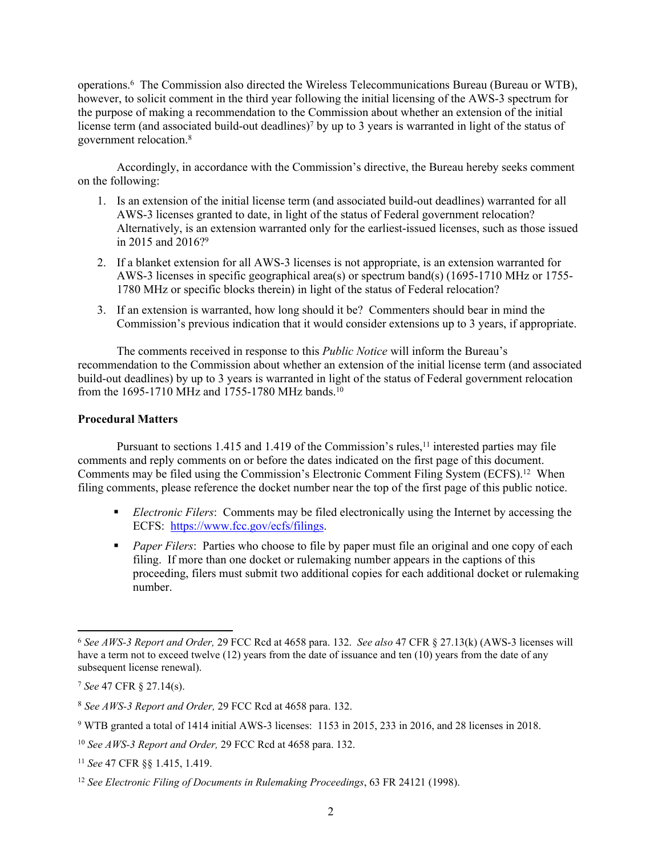operations.<sup>6</sup> The Commission also directed the Wireless Telecommunications Bureau (Bureau or WTB), however, to solicit comment in the third year following the initial licensing of the AWS-3 spectrum for the purpose of making a recommendation to the Commission about whether an extension of the initial license term (and associated build-out deadlines)<sup>7</sup> by up to 3 years is warranted in light of the status of government relocation.<sup>8</sup>

Accordingly, in accordance with the Commission's directive, the Bureau hereby seeks comment on the following:

- 1. Is an extension of the initial license term (and associated build-out deadlines) warranted for all AWS-3 licenses granted to date, in light of the status of Federal government relocation? Alternatively, is an extension warranted only for the earliest-issued licenses, such as those issued in 2015 and 2016?<sup>9</sup>
- 2. If a blanket extension for all AWS-3 licenses is not appropriate, is an extension warranted for AWS-3 licenses in specific geographical area(s) or spectrum band(s) (1695-1710 MHz or 1755- 1780 MHz or specific blocks therein) in light of the status of Federal relocation?
- 3. If an extension is warranted, how long should it be? Commenters should bear in mind the Commission's previous indication that it would consider extensions up to 3 years, if appropriate.

The comments received in response to this *Public Notice* will inform the Bureau's recommendation to the Commission about whether an extension of the initial license term (and associated build-out deadlines) by up to 3 years is warranted in light of the status of Federal government relocation from the 1695-1710 MHz and 1755-1780 MHz bands.<sup>10</sup>

# **Procedural Matters**

Pursuant to sections 1.415 and 1.419 of the Commission's rules, $<sup>11</sup>$  interested parties may file</sup> comments and reply comments on or before the dates indicated on the first page of this document. Comments may be filed using the Commission's Electronic Comment Filing System (ECFS).<sup>12</sup> When filing comments, please reference the docket number near the top of the first page of this public notice.

- *Electronic Filers*: Comments may be filed electronically using the Internet by accessing the ECFS: [https://www.fcc.gov/ecfs/filings.](https://www.fcc.gov/ecfs/filings)
- **Paper Filers:** Parties who choose to file by paper must file an original and one copy of each filing. If more than one docket or rulemaking number appears in the captions of this proceeding, filers must submit two additional copies for each additional docket or rulemaking number.

<sup>6</sup> *See AWS-3 Report and Order,* 29 FCC Rcd at 4658 para. 132. *See also* 47 CFR § 27.13(k) (AWS-3 licenses will have a term not to exceed twelve (12) years from the date of issuance and ten (10) years from the date of any subsequent license renewal).

<sup>7</sup> *See* 47 CFR § 27.14(s).

<sup>8</sup> *See AWS-3 Report and Order,* 29 FCC Rcd at 4658 para. 132.

<sup>9</sup> WTB granted a total of 1414 initial AWS-3 licenses: 1153 in 2015, 233 in 2016, and 28 licenses in 2018.

<sup>10</sup> *See AWS-3 Report and Order,* 29 FCC Rcd at 4658 para. 132.

<sup>11</sup> *See* 47 CFR §§ 1.415, 1.419.

<sup>12</sup> *See Electronic Filing of Documents in Rulemaking Proceedings*, 63 FR 24121 (1998).